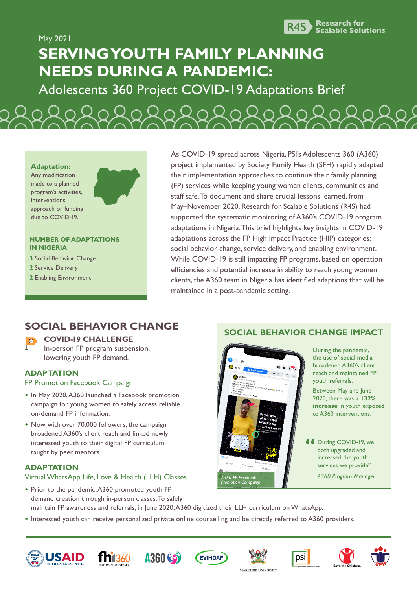

May 2021 **SERVING YOUTH FAMILY PLANNING NEEDS DURING A PANDEMIC:**

Adolescents 360 Project COVID-19 Adaptations Brief

#### **Adaptation:**

Any modification made to a planned program's activities, interventions, approach or funding due to COVID-19.

#### **NUMBER OF ADAPTATIONS IN NIGERIA**

- **3** Social Behavior Change
- **2** Service Delivery
- **2** Enabling Environment

As COVID-19 spread across Nigeria, PSI's Adolescents 360 (A360) project implemented by Society Family Health (SFH) rapidly adapted their implementation approaches to continue their family planning (FP) services while keeping young women clients, communities and staff safe. To document and share crucial lessons learned, from May–November 2020, Research for Scalable Solutions (R4S) had supported the systematic monitoring of A360's COVID-19 program adaptations in Nigeria. This brief highlights key insights in COVID-19 adaptations across the FP High Impact Practice (HIP) categories: social behavior change, service delivery, and enabling environment. While COVID-19 is still impacting FP programs, based on operation efficiencies and potential increase in ability to reach young women clients, the A360 team in Nigeria has identified adaptions that will be maintained in a post-pandemic setting.

**SOCIAL BEHAVIOR CHANGE IMPACT**

## **SOCIAL BEHAVIOR CHANGE**

## $\overline{\mathbb{R}^n}$

#### **COVID-19 CHALLENGE**

In-person FP program suspension, lowering youth FP demand.

### **ADAPTATION**

#### FP Promotion Facebook Campaign

- **•** In May 2020, A360 launched a Facebook promotion campaign for young women to safely access reliable on-demand FP information.
- **•** Now with over 70,000 followers, the campaign broadened A360's client reach and linked newly interested youth to their digital FP curriculum taught by peer mentors.

#### **ADAPTATION**

#### Virtual WhatsApp Life, Love & Health (LLH) Classes

- **•** Prior to the pandemic, A360 promoted youth FP demand creation through in-person classes. To safely maintain FP awareness and referrals, in June 2020, A360 digitized their LLH curriculum on WhatsApp.
- **•** Interested youth can receive personalized private online counselling and be directly referred to A360 providers.











*A360 FP Facebook Promotion Campaign*





**66** During COVID-19, we both upgraded and both upgraded and increased the youth services we provide" *A360 Program Manager*

During the pandemic, the use of social media broadened A360's client reach and maintained FP

Between May and June 2020, there was a **132% increase** in youth exposed to A360 interventions.

youth referrals.